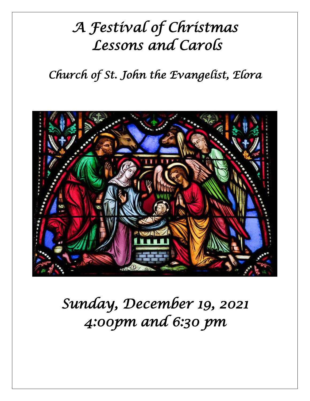## *A Festival of Christmas Lessons and Carols*

## *Church of St. John the Evangelist, Elora*



# *Sunday, December 19, 2021 4:00pm and 6:30 pm*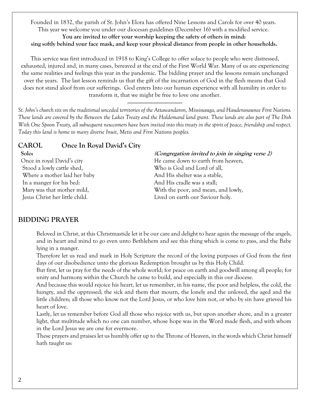Founded in 1832, the parish of St. John's Elora has offered Nine Lessons and Carols for over 40 years. This year we welcome you under our diocesan guidelines (December 16) with a modified service. **You are invited to offer your worship keeping the safety of others in mind:**

### **sing softly behind your face mask, and keep your physical distance from people in other households.**

This service was first introduced in 1918 to King's College to offer solace to people who were distressed, exhausted, injured and, in many cases, bereaved at the end of the First World War. Many of us are experiencing the same realities and feelings this year in the pandemic. The bidding prayer and the lessons remain unchanged over the years. The last lesson reminds us that the gift of the incarnation of God in the flesh means that God does not stand aloof from our sufferings. God enters Into our human experience with all humility in order to transform it, that we might be free to love one another.

*St. John's church sits on the traditional unceded territories of the Attawandaron, Mississauga, and Haudenosaunee First Nations. These lands are covered by the Between the Lakes Treaty and the Haldemand land grant. These lands are also part of The Dish With One Spoon Treaty, all subsequent newcomers have been invited into this treaty in the spirit of peace, friendship and respect. Today this land is home to many diverse Inuit, Metis and First Nations peoples.* 

-----------------------------------------------

### **CAROL Once In Royal David's City**

| Solo:                          | (Congregation invited to join in singing verse 2) |
|--------------------------------|---------------------------------------------------|
| Once in royal David's city     | He came down to earth from heaven,                |
| Stood a lowly cattle shed,     | Who is God and Lord of all,                       |
| Where a mother laid her baby   | And His shelter was a stable,                     |
| In a manger for his bed:       | And His cradle was a stall;                       |
| Mary was that mother mild,     | With the poor, and mean, and lowly,               |
| Jesus Christ her little child. | Lived on earth our Saviour holy.                  |

#### **BIDDING PRAYER**

Beloved in Christ, at this Christmastide let it be our care and delight to hear again the message of the angels, and in heart and mind to go even unto Bethlehem and see this thing which is come to pass, and the Babe lying in a manger.

Therefore let us read and mark in Holy Scripture the record of the loving purposes of God from the first days of our disobedience unto the glorious Redemption brought us by this Holy Child.

But first, let us pray for the needs of the whole world; for peace on earth and goodwill among all people; for unity and harmony within the Church he came to build, and especially in this our diocese.

And because this would rejoice his heart, let us remember, in his name, the poor and helpless, the cold, the hungry, and the oppressed; the sick and them that mourn, the lonely and the unloved, the aged and the little children; all those who know not the Lord Jesus, or who love him not, or who by sin have grieved his heart of love.

Lastly, let us remember before God all those who rejoice with us, but upon another shore, and in a greater light, that multitude which no one can number, whose hope was in the Word made flesh, and with whom in the Lord Jesus we are one for evermore.

These prayers and praises let us humbly offer up to the Throne of Heaven, in the words which Christ himself hath taught us: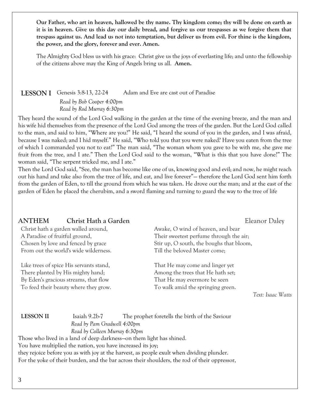**Our Father, who art in heaven, hallowed be thy name. Thy kingdom come; thy will be done on earth as it is in heaven. Give us this day our daily bread, and forgive us our trespasses as we forgive them that trespass against us. And lead us not into temptation, but deliver us from evil. For thine is the kingdom, the power, and the glory, forever and ever. Amen.**

The Almighty God bless us with his grace: Christ give us the joys of everlasting life; and unto the fellowship of the citizens above may the King of Angels bring us all. **Amen.**

LESSON I Genesis 3:8-13, 22-24 Adam and Eve are cast out of Paradise

*Read by Bob Cooper 4:00pm Read by Rod Murray 6:30pm*

They heard the sound of the Lord God walking in the garden at the time of the evening breeze, and the man and his wife hid themselves from the presence of the Lord God among the trees of the garden. But the Lord God called to the man, and said to him, "Where are you?" He said, "I heard the sound of you in the garden, and I was afraid, because I was naked; and I hid myself." He said, "Who told you that you were naked? Have you eaten from the tree of which I commanded you not to eat?" The man said, "The woman whom you gave to be with me, she gave me fruit from the tree, and I ate." Then the Lord God said to the woman, "What is this that you have done?" The woman said, "The serpent tricked me, and I ate."

Then the Lord God said, "See, the man has become like one of us, knowing good and evil; and now, he might reach out his hand and take also from the tree of life, and eat, and live forever"— therefore the Lord God sent him forth from the garden of Eden, to till the ground from which he was taken. He drove out the man; and at the east of the garden of Eden he placed the cherubim, and a sword flaming and turning to guard the way to the tree of life

### **ANTHEM** Christ Hath a Garden **Eleanor Daley**

Christ hath a garden walled around, A Paradise of fruitful ground, Chosen by love and fenced by grace From out the world's wide wilderness.

Like trees of spice His servants stand, There planted by His mighty hand; By Eden's gracious streams, that flow To feed their beauty where they grow. Awake, O wind of heaven, and bear Their sweetest perfume through the air; Stir up, O south, the boughs that bloom, Till the beloved Master come;

That He may come and linger yet Among the trees that He hath set; That He may evermore be seen To walk amid the springing green.

*Text: Isaac Watts*

**LESSON II** Isaiah 9.2b-7 The prophet foretells the birth of the Saviour *Read by Pam Gradwell 4:00pm Read by Colleen Murray 6:30pm* Those who lived in a land of deep darkness—on them light has shined.

You have multiplied the nation, you have increased its joy;

they rejoice before you as with joy at the harvest, as people exult when dividing plunder. For the yoke of their burden, and the bar across their shoulders, the rod of their oppressor,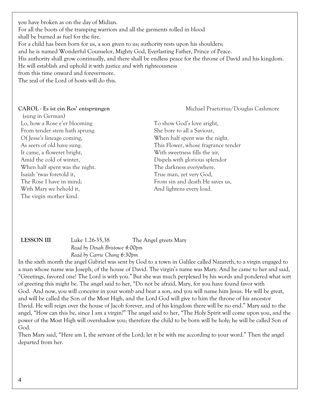you have broken as on the day of Midian. For all the boots of the tramping warriors and all the garments rolled in blood shall be burned as fuel for the fire. For a child has been born for us, a son given to us; authority rests upon his shoulders; and he is named Wonderful Counselor, Mighty God, Everlasting Father, Prince of Peace. His authority shall grow continually, and there shall be endless peace for the throne of David and his kingdom. He will establish and uphold it with justice and with righteousness from this time onward and forevermore. The zeal of the Lord of hosts will do this.

 (sung in German) Lo, how a Rose e'er blooming From tender stem hath sprung. Of Jesse's lineage coming, As seers of old have sung. It came, a floweret bright, Amid the cold of winter, When half spent was the night. Isaiah 'twas foretold it, The Rose I have in mind; With Mary we behold it, The virgin mother kind.

**CAROL - Es ist ein Ros' entsprungen** Michael Praetorius/Douglas Cashmore

To show God's love aright, She bore to all a Saviour, When half spent was the night. This Flower, whose fragrance tender With sweetness fills the air, Dispels with glorious splendor The darkness everywhere. True man, yet very God, From sin and death He saves us, And lightens every load.

**LESSON III** Luke 1.26-35,38 The Angel greets Mary *Read by Dinah Bristowe 4:00pm Read by Carrie Chong 6:30pm*

In the sixth month the angel Gabriel was sent by God to a town in Galilee called Nazareth, to a virgin engaged to a man whose name was Joseph, of the house of David. The virgin's name was Mary. And he came to her and said, "Greetings, favored one! The Lord is with you." But she was much perplexed by his words and pondered what sort of greeting this might be. The angel said to her, "Do not be afraid, Mary, for you have found favor with God. And now, you will conceive in your womb and bear a son, and you will name him Jesus. He will be great, and will be called the Son of the Most High, and the Lord God will give to him the throne of his ancestor David. He will reign over the house of Jacob forever, and of his kingdom there will be no end." Mary said to the angel, "How can this be, since I am a virgin?" The angel said to her, "The Holy Spirit will come upon you, and the power of the Most High will overshadow you; therefore the child to be born will be holy; he will be called Son of God.

Then Mary said, "Here am I, the servant of the Lord; let it be with me according to your word." Then the angel departed from her.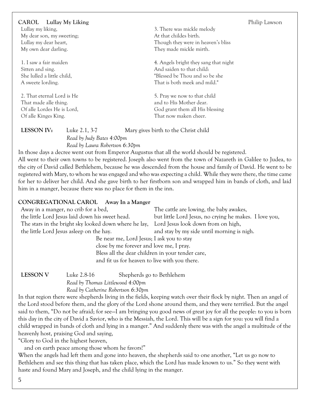#### **CAROL Lullay My Liking** Philip Lawson

Lullay my liking, My dear son, my sweeting; Lullay my dear heart, My own dear darling.

1. I saw a fair maiden Sitten and sing. She lulled a little child, A sweete lording.

2. That eternal Lord is He That made alle thing. Of alle Lordes He is Lord, Of alle Kinges King.

3. There was mickle melody At that childes birth. Though they were in heaven's bliss They made mickle mirth.

4. Angels bright they sang that night And saiden to that child: "Blessed be Thou and so be she That is both meek and mild."

5. Pray we now to that child and to His Mother dear. God grant them all His blessing That now maken cheer.

**LESSON IV:** Luke 2.1, 3-7 Mary gives birth to the Christ child *Read by Judy Bates 4:00pm Read by Laura Robertson 6:30pm*

In those days a decree went out from Emperor Augustus that all the world should be registered. All went to their own towns to be registered. Joseph also went from the town of Nazareth in Galilee to Judea, to the city of David called Bethlehem, because he was descended from the house and family of David. He went to be registered with Mary, to whom he was engaged and who was expecting a child. While they were there, the time came for her to deliver her child. And she gave birth to her firstborn son and wrapped him in bands of cloth, and laid him in a manger, because there was no place for them in the inn.

#### **CONGREGATIONAL CAROL Away In a Manger**

Away in a manger, no crib for a bed, the little Lord Jesus laid down his sweet head. The stars in the bright sky looked down where he lay, the little Lord Jesus asleep on the hay. The cattle are lowing, the baby awakes, but little Lord Jesus, no crying he makes. I love you, Lord Jesus look down from on high, and stay by my side until morning is nigh. Be near me, Lord Jesus; I ask you to stay close by me forever and love me, I pray. Bless all the dear children in your tender care, and fit us for heaven to live with you there.

**LESSON V** Luke 2.8-16 Shepherds go to Bethlehem *Read by Thomas Littlewood 4:00pm Read by Catherine Robertson 6:30pm*

In that region there were shepherds living in the fields, keeping watch over their flock by night. Then an angel of the Lord stood before them, and the glory of the Lord shone around them, and they were terrified. But the angel said to them, "Do not be afraid; for see—I am bringing you good news of great joy for all the people: to you is born this day in the city of David a Savior, who is the Messiah, the Lord. This will be a sign for you: you will find a child wrapped in bands of cloth and lying in a manger." And suddenly there was with the angel a multitude of the heavenly host, praising God and saying,

"Glory to God in the highest heaven,

and on earth peace among those whom he favors!"

When the angels had left them and gone into heaven, the shepherds said to one another, "Let us go now to Bethlehem and see this thing that has taken place, which the Lord has made known to us." So they went with haste and found Mary and Joseph, and the child lying in the manger.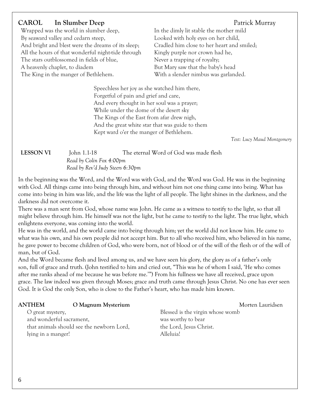### **CAROL** In Slumber Deep Patrick Murray

| Wrapped was the world in slumber deep,             | In the dimly lit stable |
|----------------------------------------------------|-------------------------|
| By seaward valley and cedarn steep,                | Looked with holy eyes   |
| And bright and blest were the dreams of its sleep; | Cradled him close to    |
| All the hours of that wonderful night-tide through | Kingly purple nor cro   |
| The stars outblossomed in fields of blue,          | Never a trapping of ro  |
| A heavenly chaplet, to diadem                      | But Mary saw that the   |
| The King in the manger of Bethlehem.               | With a slender nimbu    |
|                                                    |                         |

the mother mild s on her child, her heart and smiled: wn had he, yalty; e baby's head us was garlanded.

Speechless her joy as she watched him there, Forgetful of pain and grief and care, And every thought in her soul was a prayer; While under the dome of the desert sky The Kings of the East from afar drew nigh, And the great white star that was guide to them Kept ward o'er the manger of Bethlehem.

*Text: Lucy Maud Montgomery*

**LESSON VI** John 1.1-18 The eternal Word of God was made flesh *Read by Colin Fox 4:00pm Read by Rev'd Judy Steers 6:30pm*

In the beginning was the Word, and the Word was with God, and the Word was God. He was in the beginning with God. All things came into being through him, and without him not one thing came into being. What has come into being in him was life, and the life was the light of all people. The light shines in the darkness, and the darkness did not overcome it.

There was a man sent from God, whose name was John. He came as a witness to testify to the light, so that all might believe through him. He himself was not the light, but he came to testify to the light. The true light, which enlightens everyone, was coming into the world.

He was in the world, and the world came into being through him; yet the world did not know him. He came to what was his own, and his own people did not accept him. But to all who received him, who believed in his name, he gave power to become children of God, who were born, not of blood or of the will of the flesh or of the will of man, but of God.

And the Word became flesh and lived among us, and we have seen his glory, the glory as of a father's only son, full of grace and truth. (John testified to him and cried out, "This was he of whom I said, 'He who comes after me ranks ahead of me because he was before me.'") From his fullness we have all received, grace upon grace. The law indeed was given through Moses; grace and truth came through Jesus Christ. No one has ever seen God. It is God the only Son, who is close to the Father's heart, who has made him known.

#### **ANTHEM** O Magnum Mysterium **Magnum 1996** Morten Lauridsen

 O great mystery, and wonderful sacrament, that animals should see the newborn Lord, lying in a manger!

 Blessed is the virgin whose womb was worthy to bear the Lord, Jesus Christ. Alleluia!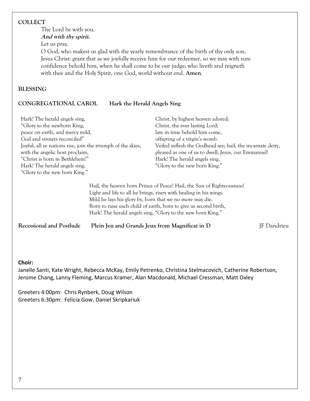#### **COLLECT**

The Lord be with you.  **And with thy spirit.** Let us pray. O God, who makest us glad with the yearly remembrance of the birth of thy only son, Jesus Christ: grant that as we joyfully receive him for our redeemer, so we may with sure confidence behold him, when he shall come to be our judge; who liveth and reigneth with thee and the Holy Spirit, one God, world without end. **Amen**.

#### **BLESSING**

#### **CONGREGATIONAL CAROL Hark the Herald Angels Sing**

| Hark! The herald angels sing,                                                                                                |                                                             | Christ, by highest heaven adored;                                      |            |
|------------------------------------------------------------------------------------------------------------------------------|-------------------------------------------------------------|------------------------------------------------------------------------|------------|
| "Glory to the newborn King,                                                                                                  |                                                             | Christ, the ever lasting Lord;                                         |            |
| peace on earth, and mercy mild,                                                                                              |                                                             | late in time behold him come,                                          |            |
| God and sinners reconciled"                                                                                                  |                                                             | offspring of a virgin's womb.                                          |            |
| Joyful, all ye nations rise, join the triumph of the skies,                                                                  |                                                             | Veiled inflesh the Godhead see; hail, the incarnate deity,             |            |
| with the angelic host proclaim,                                                                                              |                                                             | pleased as one of us to dwell, Jesus, our Emmanuel!                    |            |
| "Christ is born in Bethlehem!"                                                                                               |                                                             | Hark! The herald angels sing,                                          |            |
| Hark! The herald angels sing,                                                                                                |                                                             | "Glory to the new born King."                                          |            |
| "Glory to the new born King."                                                                                                |                                                             |                                                                        |            |
|                                                                                                                              |                                                             | Hail, the heaven born Prince of Peace! Hail, the Sun of Righteousness! |            |
| Light and life to all he brings, risen with healing in his wings.                                                            |                                                             |                                                                        |            |
| Mild he lays his glory by, born that we no more may die,<br>Born to raise each child of earth, born to give us second birth, |                                                             |                                                                        |            |
|                                                                                                                              |                                                             |                                                                        |            |
|                                                                                                                              | Hark! The herald angels sing, "Glory to the new born King." |                                                                        |            |
| <b>Recessional and Postlude</b>                                                                                              | Plein Jeu and Grands Jeux from Magnificat in D              |                                                                        | F Dandrieu |

#### **Choir:**

Janelle Santi, Kate Wright, Rebecca McKay, Emily Petrenko, Christina Stelmacovich, Catherine Robertson, Jerome Chang, Lanny Fleming, Marcus Kramer, Alan Macdonald, Michael Cressman, Matt Oxley

Greeters 4:00pm: Chris Rynberk, Doug Wilson Greeters 6:30pm: Felicia Gow, Daniel Skripkariuk